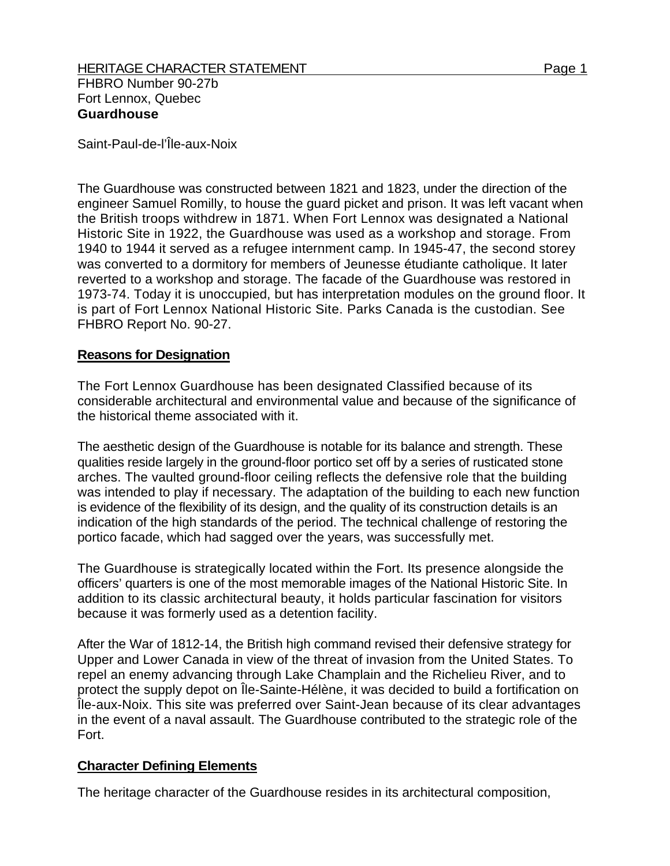Saint-Paul-de-l'Île-aux-Noix

The Guardhouse was constructed between 1821 and 1823, under the direction of the engineer Samuel Romilly, to house the guard picket and prison. It was left vacant when the British troops withdrew in 1871. When Fort Lennox was designated a National Historic Site in 1922, the Guardhouse was used as a workshop and storage. From 1940 to 1944 it served as a refugee internment camp. In 1945-47, the second storey was converted to a dormitory for members of Jeunesse étudiante catholique. It later reverted to a workshop and storage. The facade of the Guardhouse was restored in 1973-74. Today it is unoccupied, but has interpretation modules on the ground floor. It is part of Fort Lennox National Historic Site. Parks Canada is the custodian. See FHBRO Report No. 90-27.

## **Reasons for Designation**

The Fort Lennox Guardhouse has been designated Classified because of its considerable architectural and environmental value and because of the significance of the historical theme associated with it.

The aesthetic design of the Guardhouse is notable for its balance and strength. These qualities reside largely in the ground-floor portico set off by a series of rusticated stone arches. The vaulted ground-floor ceiling reflects the defensive role that the building was intended to play if necessary. The adaptation of the building to each new function is evidence of the flexibility of its design, and the quality of its construction details is an indication of the high standards of the period. The technical challenge of restoring the portico facade, which had sagged over the years, was successfully met.

The Guardhouse is strategically located within the Fort. Its presence alongside the officers' quarters is one of the most memorable images of the National Historic Site. In addition to its classic architectural beauty, it holds particular fascination for visitors because it was formerly used as a detention facility.

After the War of 1812-14, the British high command revised their defensive strategy for Upper and Lower Canada in view of the threat of invasion from the United States. To repel an enemy advancing through Lake Champlain and the Richelieu River, and to protect the supply depot on Île-Sainte-Hélène, it was decided to build a fortification on Île-aux-Noix. This site was preferred over Saint-Jean because of its clear advantages in the event of a naval assault. The Guardhouse contributed to the strategic role of the Fort.

## **Character Defining Elements**

The heritage character of the Guardhouse resides in its architectural composition,